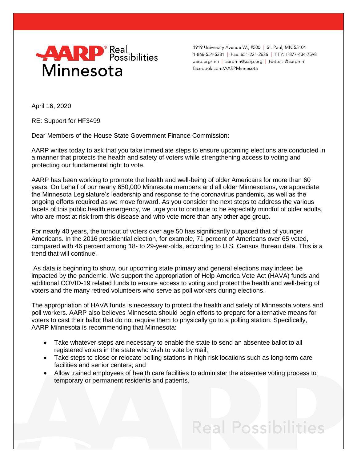

1919 University Avenue W., #500 | St. Paul, MN 55104 1-866-554-5381 | Fax: 651-221-2636 | TTY: 1-877-434-7598 aarp.org/mn | aarpmn@aarp.org | twitter: @aarpmn facebook.com/AARPMinnesota

April 16, 2020

RE: Support for HF3499

Dear Members of the House State Government Finance Commission:

AARP writes today to ask that you take immediate steps to ensure upcoming elections are conducted in a manner that protects the health and safety of voters while strengthening access to voting and protecting our fundamental right to vote.

AARP has been working to promote the health and well-being of older Americans for more than 60 years. On behalf of our nearly 650,000 Minnesota members and all older Minnesotans, we appreciate the Minnesota Legislature's leadership and response to the coronavirus pandemic, as well as the ongoing efforts required as we move forward. As you consider the next steps to address the various facets of this public health emergency, we urge you to continue to be especially mindful of older adults, who are most at risk from this disease and who vote more than any other age group.

For nearly 40 years, the turnout of voters over age 50 has significantly outpaced that of younger Americans. In the 2016 presidential election, for example, 71 percent of Americans over 65 voted, compared with 46 percent among 18- to 29-year-olds, according to U.S. Census Bureau data. This is a trend that will continue.

As data is beginning to show, our upcoming state primary and general elections may indeed be impacted by the pandemic. We support the appropriation of Help America Vote Act (HAVA) funds and additional COVID-19 related funds to ensure access to voting and protect the health and well-being of voters and the many retired volunteers who serve as poll workers during elections.

The appropriation of HAVA funds is necessary to protect the health and safety of Minnesota voters and poll workers. AARP also believes Minnesota should begin efforts to prepare for alternative means for voters to cast their ballot that do not require them to physically go to a polling station. Specifically, AARP Minnesota is recommending that Minnesota:

- Take whatever steps are necessary to enable the state to send an absentee ballot to all registered voters in the state who wish to vote by mail;
- Take steps to close or relocate polling stations in high risk locations such as long-term care facilities and senior centers; and
- Allow trained employees of health care facilities to administer the absentee voting process to temporary or permanent residents and patients.

## **Real Possibilities**